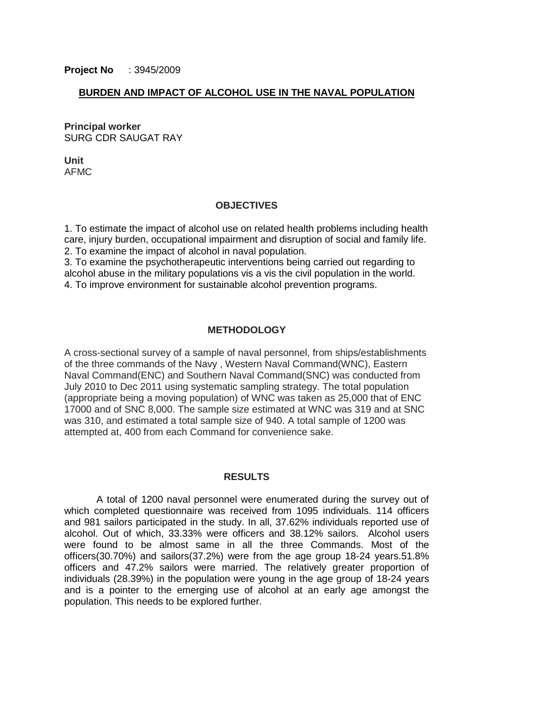## **BURDEN AND IMPACT OF ALCOHOL USE IN THE NAVAL POPULATION**

**Principal worker** SURG CDR SAUGAT RAY

**Unit** AFMC

### **OBJECTIVES**

1. To estimate the impact of alcohol use on related health problems including health care, injury burden, occupational impairment and disruption of social and family life. 2. To examine the impact of alcohol in naval population.

3. To examine the psychotherapeutic interventions being carried out regarding to alcohol abuse in the military populations vis a vis the civil population in the world. 4. To improve environment for sustainable alcohol prevention programs.

### **METHODOLOGY**

A cross-sectional survey of a sample of naval personnel, from ships/establishments of the three commands of the Navy , Western Naval Command(WNC), Eastern Naval Command(ENC) and Southern Naval Command(SNC) was conducted from July 2010 to Dec 2011 using systematic sampling strategy. The total population (appropriate being a moving population) of WNC was taken as 25,000 that of ENC 17000 and of SNC 8,000. The sample size estimated at WNC was 319 and at SNC was 310, and estimated a total sample size of 940. A total sample of 1200 was attempted at, 400 from each Command for convenience sake.

#### **RESULTS**

A total of 1200 naval personnel were enumerated during the survey out of which completed questionnaire was received from 1095 individuals. 114 officers and 981 sailors participated in the study. In all, 37.62% individuals reported use of alcohol. Out of which, 33.33% were officers and 38.12% sailors. Alcohol users were found to be almost same in all the three Commands. Most of the officers(30.70%) and sailors(37.2%) were from the age group 18-24 years.51.8% officers and 47.2% sailors were married. The relatively greater proportion of individuals (28.39%) in the population were young in the age group of 18-24 years and is a pointer to the emerging use of alcohol at an early age amongst the population. This needs to be explored further.